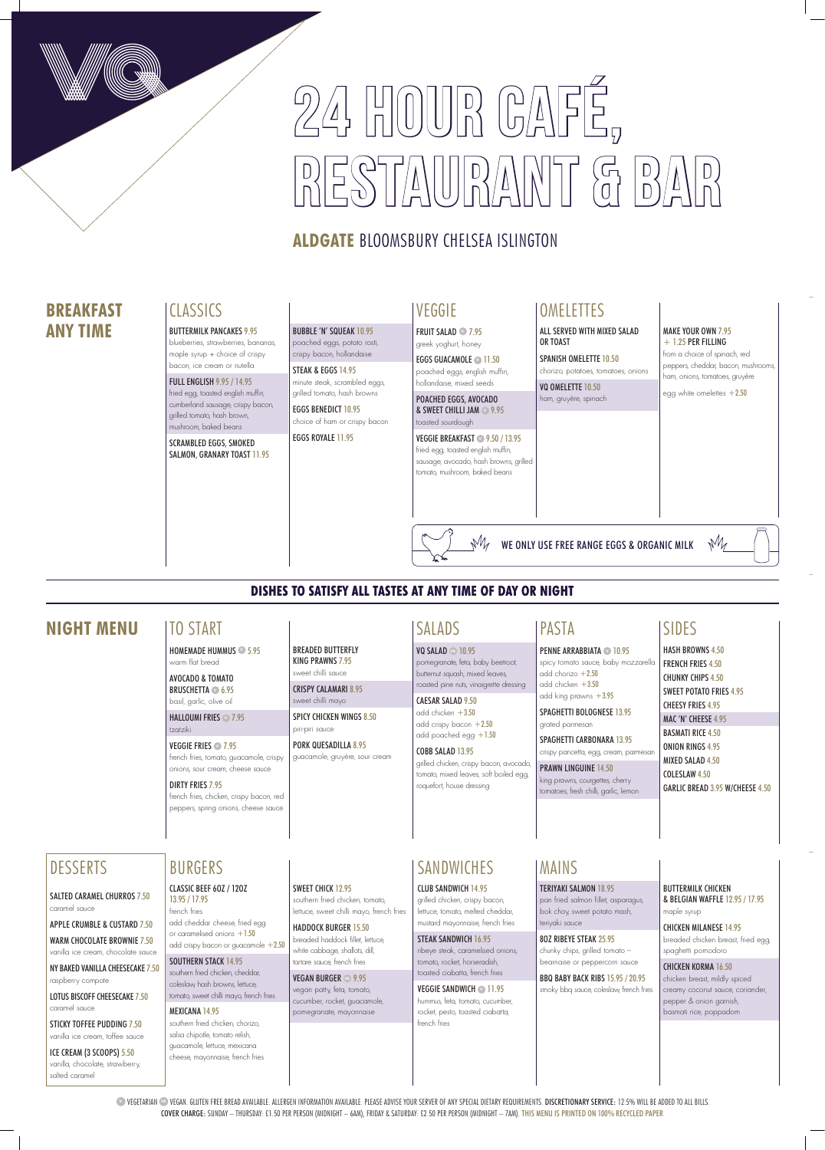# 24 HOUR CAFÉ,  $\frac{1}{2}$

# **ALDGATE** BLOOMSBURY CHELSEA ISLINGTON

**VEGETARIAN <sup>®</sup> VEGAN. GLUTEN FREE BREAD AVAILABLE. ALLERGEN INFORMATION AVAILABLE. PLEASE ADVISE YOUR SERVER OF ANY SPECIAL DIETARY REQUIREMENTS. DISCRETIONARY SERVICE: 12.5% WILL BE ADDED TO ALL BILLS.** COVER CHARGE: SUNDAY – THURSDAY: £1.50 PER PERSON (MIDNIGHT – 6AM), FRIDAY & SATURDAY: £2.50 PER PERSON (MIDNIGHT – 7AM). THIS MENU IS PRINTED ON 100% RECYCLED PAPER

EGGS GUACAMOLE **11.50** poached eggs, english muffin, hollandaise, mixed seeds

# VEGGIE

FRUIT SALAD **<sup>V</sup>** 7.95 greek yoghurt, honey

POACHED EGGS, AVOCADO & SWEET CHILLI JAM **<sup>V</sup>** 9.95 toasted sourdough

## VEGGIE BREAKFAST **<sup>V</sup>** 9.50 / 13.95 fried egg, toasted english muffin,

sausage, avocado, hash browns, grilled tomato, mushroom, baked beans

# **OMELETTES**

## **DISHES TO SATISFY ALL TASTES AT ANY TIME OF DAY OR NIGHT**

# **BREAKFAST ANY TIME**

# **CLASSICS**

# **NIGHT MENU** SIDES

CAESAR SALAD 9.50 add chicken +3.50 add crispy bacon  $+2.50$ 

BREADED BUTTERFLY KING PRAWNS 7.95 sweet chilli sauce CRISPY CALAMARI 8.95 sweet chilli mayo

SPICY CHICKEN WINGS 8.50

piri-piri sauce

PORK QUESADILLA 8.95 guacamole, gruyère, sour cream

## **PENNE ARRABBIATA 10.95** spicy tomato sauce, baby mozzarella add chorizo  $+2.50$ add chicken +3.50 add king prawns +3.95

SPAGHETTI CARBONARA 13.95 crispy pancetta, egg, cream, parmesar

# TO START

HOMEMADE HUMMUS **<sup>V</sup>** 5.95 warm flat bread

AVOCADO & TOMATO BRUSCHETTA **<sup>V</sup>** 6.95 basil, garlic, olive oil

HALLOUMI FRIES **<sup>V</sup>** 7.95 tzatziki

VEGGIE FRIES **<sup>V</sup>** 7.95 french fries, tomato, guacamole, crispy onions, sour cream, cheese sauce

#### DIRTY FRIES 7.95

french fries, chicken, crispy bacon, red peppers, spring onions, cheese sauce

#### MAKE YOUR OWN 7.95  $+ 1.25$  PER FILLING

HASH BROWNS 4.50 FRENCH FRIES 4.50 CHUNKY CHIPS 4.50 SWEET POTATO FRIES 4.95 CHEESY FRIES 4.95 MAC 'N' CHEESE 4.95 BASMATI RICE 4.50 ONION RINGS 4.95 MIXED SALAD 4.50 COLESLAW 4.50 GARLIC BREAD 3.95 W/CHEESE 4.50

SPANISH OMELETTE 10.50 chorizo, potatoes, tomatoes, onions

VQ OMELETTE 10.50 ham, gruyère, spinach

# SALADS

VQ SALAD **VE** 10.95 pomegranate, feta, baby beetroot, butternut squash, mixed leaves, roasted pine nuts, vinaigrette dressing

# add poached egg +1.50

COBB SALAD 13.95 grilled chicken, crispy bacon, avocado,

tomato, mixed leaves, soft boiled egg, roquefort, house dressing

CLASSIC BEEF 6OZ / 12OZ 13.95 / 17.95 french fries add cheddar cheese, fried egg or caramelised onions +1.50 add crispy bacon or guacamole +2.50 SPAGHETTI BOLOGNESE 13.95 grated parmesan

SOUTHERN STACK 14.95 southern fried chicken, cheddar, coleslaw, hash browns, lettuce, tomato, sweet chilli mayo, french fries PRAWN LINGUINE 14.50 king prawns, courgettes, cherry tomatoes, fresh chilli, garlic, lemon

PASTA

SWEET CHICK 12.95 southern fried chicken, tomato, lettuce, sweet chilli mayo, french fries

BUTTERMILK PANCAKES 9.95 blueberries, strawberries, bananas,

maple syrup + choice of crispy bacon, ice cream or nutella

FULL ENGLISH 9.95 / 14.95 fried egg, toasted english muffin, cumberland sausage, crispy bacon, grilled tomato, hash brown, mushroom, baked beans

SCRAMBLED EGGS, SMOKED SALMON, GRANARY TOAST 11.95

BUBBLE 'N' SQUEAK 10.95 poached eggs, potato rosti,

crispy bacon, hollandaise STEAK & EGGS 14.95 minute steak, scrambled eggs, grilled tomato, hash browns

EGGS BENEDICT 10.95 choice of ham or crispy bacon

EGGS ROYALE 11.95

from a choice of spinach, red peppers, cheddar, bacon, mushrooms, ham, onions, tomatoes, gruyère

 $M$ 

egg white omelettes  $+2.50$ 

ALL SERVED WITH MIXED SALAD OR TOAST

WE ONLY USE FREE RANGE EGGS & ORGANIC MILK

# MAINS

TERIYAKI SALMON 18.95

pan fried salmon fillet, asparagus, bok choy, sweet potato mash, teriyaki sauce

8OZ RIBEYE STEAK 25.95

chunky chips, grilled tomato – bearnaise or peppercorn sauce

BBQ BABY BACK RIBS 15.95 / 20.95 smoky bbq sauce, coleslaw, french fries BUTTERMILK CHICKEN & BELGIAN WAFFLE 12.95 / 17.95 maple syrup

CHICKEN MILANESE 14.95 breaded chicken breast, fried egg, spaghetti pomodoro

CHICKEN KORMA 16.50 chicken breast, mildly spiced creamy coconut sauce, coriander, pepper & onion garnish, basmati rice, poppadom

CLUB SANDWICH 14.95 grilled chicken, crispy bacon, lettuce, tomato, melted cheddar,

mustard mayonnaise, french fries

#### STEAK SANDWICH 16.95

ribeye steak, caramelised onions, tomato, rocket, horseradish, toasted ciabatta, french fries

VEGGIE SANDWICH **V** 11.95 hummus, feta, tomato, cucumber, rocket, pesto, toasted ciabatta, french fries

MEXICANA 14.95 southern fried chicken, chorizo, salsa chipotle, tomato relish, guacamole, lettuce, mexicana cheese, mayonnaise, french fries

# BURGERS SANDWICHES

HADDOCK BURGER 15.50 breaded haddock fillet, lettuce, white cabbage, shallots, dill, tartare sauce, french fries

VEGAN BURGER **VE** 9.95 vegan patty, feta, tomato, cucumber, rocket, guacamole, pomegranate, mayonnaise



#### SALTED CARAMEL CHURROS 7.50 caramel sauce

APPLE CRUMBLE & CUSTARD 7.50 WARM CHOCOLATE BROWNIE 7.50 vanilla ice cream, chocolate sauce

NY BAKED VANILLA CHEESECAKE 7.50 raspberry compote

LOTUS BISCOFF CHEESECAKE 7.50 caramel sauce

STICKY TOFFEE PUDDING 7.50 vanilla ice cream, toffee sauce

ICE CREAM (3 SCOOPS) 5.50 vanilla, chocolate, strawberry, salted caramel